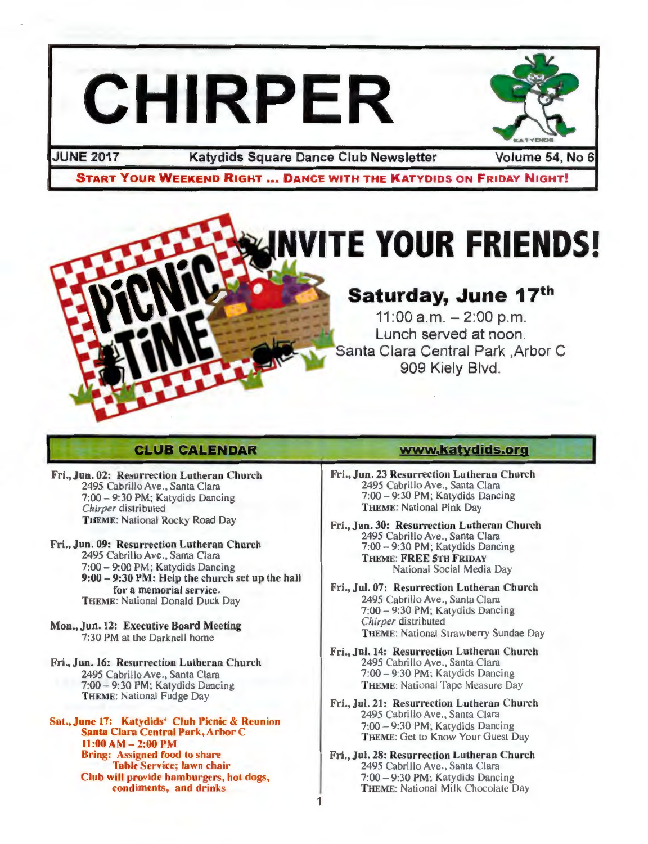# **CHIRPER**



JUNE 2017 Katydids Square Dance Club Newsletter Volume 54, No 6

START YOUR WEEKEND RIGHT ... DANCE WITH THE KATYDIDS ON FRIDAY NIGHT!



# **CLUB CALENDAR**

- Fri., Jun. 02: Resurrection Lutheran Church 2495 Cabrillo Ave., Santa Clara 7:00-9:30 PM ; Katydids Dancing *Chirper* distributed THEME: National Rocky Road Day
- Fri., Jun. 09: Resurrection Lutheran Church 2495 Cabrillo Ave., Santa Clara 7:00-9:00 PM; Katydids Dancing 9:00- 9:30PM: Help the church set up the hall for a memorial service. THEME: National Donald Duck Day
- Mon., Jun. 12: Executive Board Meeting 7:30PM at the Darknell home
- Fri., Jun. 16: Resurrection Lutheran Church 2495 Cabrillo Ave., Santa Clara 7:00- 9:30PM; Katydids Dancing THEME: National Fudge Day

at., June 17: Katydids' Club Picnic & Reunion Santa Clara Central Park, Arbor C  $11:00 AM - 2:00 PM$ Bring: Assigned food to share Table Service; lawn chair Club will provide hamburgers, hot dogs, condiments, and drinks

## **www.katydids.o•g**

- Fri., Jun. 23 Resurrection Lutheran Church 2495 Cabrillo Ave., Santa Clara 7:00-9:30 PM ; Katydids Dancing THEME: National Pink Day
- Fri., Jun. 30: Resurrection Lutheran Church 2495 Cabrillo Ave., Santa Clara 7:00- 9:30PM; Katydids Dancing THEME: FREE 5TH FRIDAY National Social Media Day
	- Fri., Jul. 07: Resurrection Lutheran Church 2495 Cabrillo Ave., Santa Clara 7:00 - 9:30 PM; Katydids Dancing *Chirper* distributed THEME: National Strawberry Sundae Day
- Fri., Jul. 14: Resurrection Lutheran Church 2495 Cabrillo Ave., Santa Clara 7:00 - 9:30 PM; Katydids Dancing THEME: National Tape Measure Day
- Fri., Jul. 21: Resurrection Lutheran Church 2495 Cabrillo Ave., Santa Clara 7:00 - 9:30 PM; Katydids Dancing THEME: Get to Know Your Guest Day
- Fri., Jul. 28: Resurrection Lutheran Church 2495 Cabrillo Ave., Santa Clara 7:00 -9:30 PM ; Katydids Dancing THEME: National Milk Chocolate Day

1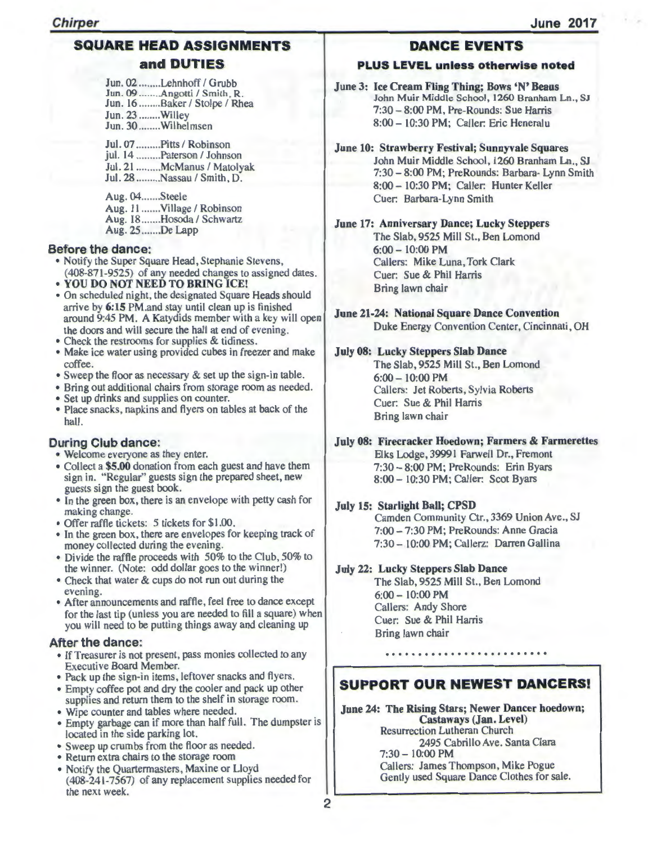# SQUARE HEAD ASSIGNMENTS and DUTIES

Jun. 02 ........Lehnhoff / Grubb Jun. 09 ........ Angotti / Smith, R. Jun. 16 ........Baker / Stolpe / Rhea Jun. 23 ........Willey Jun. 30 ........Wilhelmsen

Jul. 07 .........Pitts / Robinson jul. 14 .........Paterson / Johnson Jul. 21 .........McManus / Matolyak Jul. 28 .........Nassau / Smith, D.

Aug. 04 ....... Steele Aug. 11 .......Village / Robinson Aug. 18 .......Hosoda / Schwartz Aug. 25 ....... De Lapp

#### Before the dance:

- Notify the Super Square Head, Stephanie Stevens, (408-871-9525) of any needed changes to assigned dates.<br>• YOU DO NOT NEED TO BRING ICE!
- 
- On scheduled night, the designated Square Heads should arrive by 6:15 PM.and stay until clean up is finished around 9:45 PM. A Katydids member with a key will open the doors and will secure the hall at end of evening.
- Check the restrooms for supplies & tidiness.
- Make ice water using provided cubes in freezer and make coffee.
- Sweep the floor as necessary & set up the sign-in table.
- Bring out additional chairs from storage room as needed .
- Set up drinks and supplies on counter.
- Place snacks, napkins and flyers on tables at back of the hall.

## During Club dance:

- Welcome everyone as they enter.
- Collect a \$5.00 donation from each guest and have them sign in. "Regular" guests sign the prepared sheet, new guests sign the guest book.
- In the green box, there is an envelope with petty cash for making change.
- Offer raffle tickets: 5 tickets for \$1 .00.
- In the green box, there are envelopes for keeping track of money collected during the evening.
- Divide the raffle proceeds with 50% to the Club, 50% to the winner. (Note: odd dollar goes to the winner!)
- Check that water & cups do not run out during the
- evening. After announcements and raffle, feel free to dance except for the last tip (unless you are needed to fill a square) when you will need to be putting things away and cleaning up

## After the dance:

- If Treasurer is not present, pass monies collected to any Executive Board Member.
- Pack up the sign-in items, leftover snacks and flyers.
- Empty coffee pot and dry the cooler and pack up other supplies and return them to the shelf in storage room.
- Wipe counter and tables where needed.
- Empty garbage can if more than half full. The dumpster is located in the side parking lot.
- Sweep up crumbs from the floor as needed.
- Return extra chairs to the storage room
- Notify the Quartermasters, Maxine or Lloyd (408-241-7567) of any replacement supplies needed for the next week.

# DANCE EVENTS

## PLUS LEVEL unless otherwise noted

June 3: Ice Cream Fling Thing; Bows 'N' Beaus John Muir Middle School, 1260 Branham Ln., SJ 7:30-8:00 PM, Pre-Rounds: Sue Harris 8:00- 10:30 PM; Caller: Eric Heneralu

June 10: Strawberry Festival; Sunnyvale Squares John Muir Middle School, 1260 Branham Ln., SJ 7:30- 8:00PM; PreRounds: Barbara- Lynn Smith 8:00 - 10:30 PM; Caller: Hunter Keller Cuer: Barbara-Lynn Smith

June 17: Anniversary Dance; Lucky Steppers

The Slab, 9525 Mill St., Ben Lomond  $6:00 - 10:00$  PM Callers: Mike Luna, Tork Clark Cuer: Sue & Phil Harris Bring lawn chair

June 21-24: National Square Dance Convention Duke Energy Convention Center, Cincinnati, OH

## July 08: Lucky Steppers Slab Dance

The Slab, 9525 Mill St., Ben Lomond 6:00- 10:00 PM Callers: Jet Roberts, Sylvia Roberts Cuer: Sue & Phil Harris Bring lawn chair

July 08: Firecracker Hoedown; Farmers & Farmerettes

Elks Lodge, 39991 Farwell Dr., Fremont 7:30- 8:00PM; PreRounds: Erin Byars 8:00 - 10:30 PM; Caller: Scot Byars

## July 15: Starlight Ball; CPSD

Camden Community Ctr., 3369 Union Ave., SJ 7:00-7:30 PM; PreRounds: Anne Gracia 7:30- 10:00 PM; Callerz: Darren Gallina

## July 22: Lucky Steppers Slab Dance

The Slab, 9525 Mill St., Ben Lomond 6:00 - 10:00 PM Callers: Andy Shore Cuer: Sue & Phil Harris Bring lawn chair

# SUPPORT OUR NEWEST DANCERS!

.........................

June 24: The Rising Stars; Newer Dancer hoedown; Castaways (Jan. Level) Resurrection Lutheran Church 2495 Cabrillo Ave. Santa Clara 7:30- 10:00 PM Callers: James Thompson, Mike Pogue Gently used Square Dance Clothes for sale.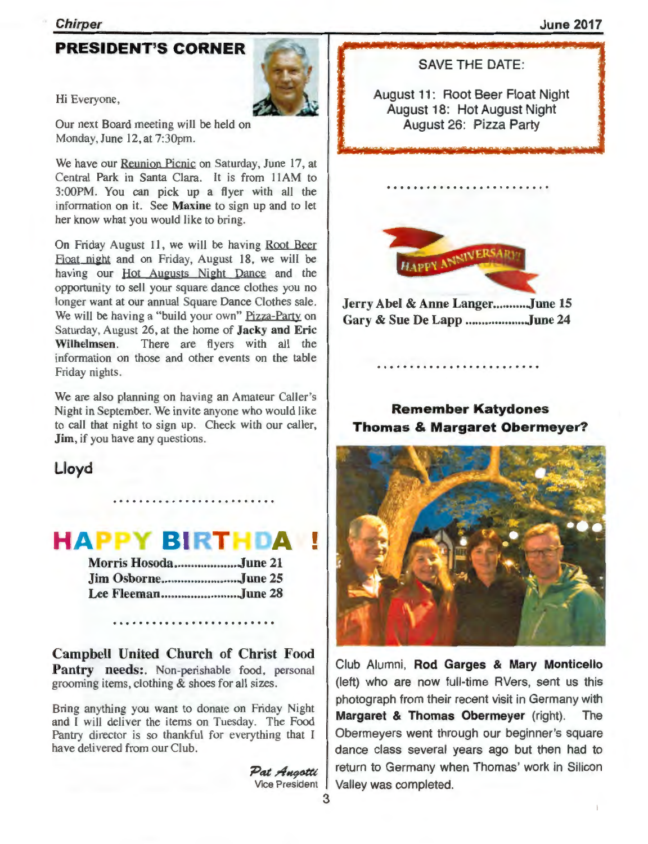#### Chirper

## June 2017

# **PRESIDENT'S CORNER**



Hi Everyone,

Our next Board meeting will be held on Monday, June 12, at 7:30pm.

We have our Reunion Picnic on Saturday, June 17, at Central Park in Santa Clara. It is from llAM to 3:00PM. You can pick up a flyer with all the information on it. See Maxine to sign up and to let her know what you would like to bring.

On Friday August 11, we will be having Root Beer Float night and on Friday, August 18, we will be having our Hot Augusts Night Dance and the opportunity to sell your square dance clothes you no longer want at our annual Square Dance Clothes sale. We will be having a "build your own" Pizza-Party on Saturday, August 26, at the home of Jacky and Eric Wilhelmsen. There are flyers with all the information on those and other events on the table Friday nights.

We are also planning on having an Amateur Caller's Night in September. We invite anyone who would like to call that night to sign up. Check with our caller, **Jim**, if you have any questions.

# Lloyd

# **HAPPY BIRTHDA**

| Morris HosodaJune 21 |  |
|----------------------|--|
|                      |  |
| Lee FleemanJune 28   |  |

Campbell United Church of Christ Food Pantry needs: Non-perishable food, personal grooming items, clothing & shoes for all sizes.

Bring anything you want to donate on Friday Night and I will deliver the items on Tuesday. The Food Pantry director is so thankful for everything that I have delivered from our Club.

> Pat <del>A</del>ngotti Vice President

SAVE THE DATE:

August 11: Root Beer Float Night August 18: Hot August Night August 26: Pizza Party



Jerry Abel & Anne Langer...........June 15 Gary & Sue De Lapp .................. June 24

# Remember Katydones Thomas & Margaret Obermeyer?



Club Alumni, Rod Garges & Mary Monticello (left) who are now full-time AVers, sent us this photograph from their recent visit in Germany with Margaret & Thomas Obermeyer (right). The Obermeyers went through our beginner's square dance class several years ago but then had to return to Germany when Thomas' work in Silicon Valley was completed.

•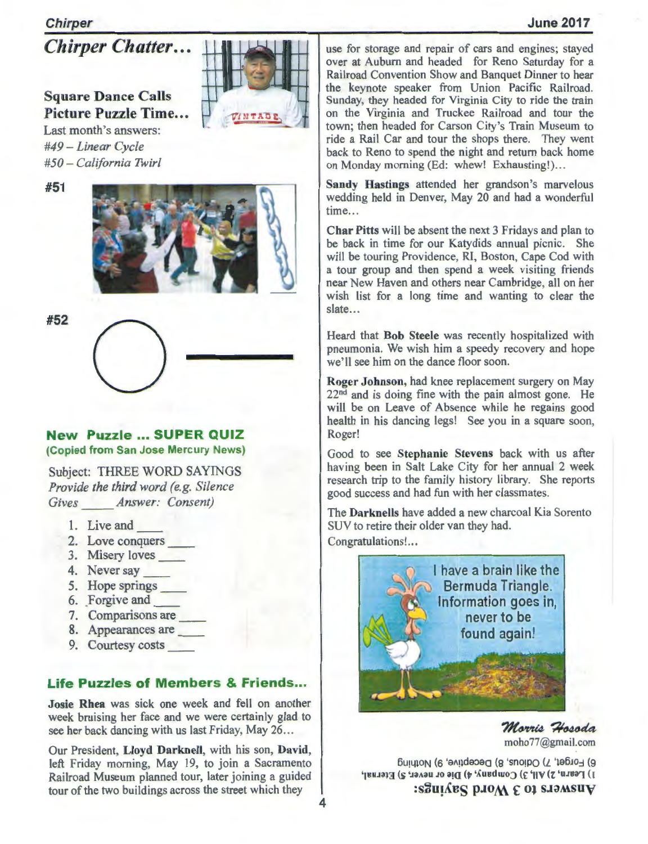## June 2017

## Chirper

*Chirper Chatter ...* 

# **Square Dance Calls** Picture Puzzle Time... Last month's answers:

*#49- Linear Cycle #50 - California Twirl* 

#51



~~Z-~oc~

#52

## **New Puzzle ... SUPER QUIZ** (Copied from San Jose Mercury News)

Subject: THREE WORD SAYINGS *Provide the third word (e.g. Silence Gives Answer: Consent)* 

- 1. Live and
- 2. Love conquers \_\_
- 3. Misery loves
- 4. Never say \_\_
- 5. Hope springs \_\_
- 6. Forgive and
- 7. Comparisons are
- 8. Appearances are
- 9. Courtesy costs \_\_

# **Life Puzzles of Members & Friends...**

Josie Rhea was sick one week and fell on another week bruising her face and we were certainly glad to see her back dancing with us last Friday, May 26 ...

Our President, Lloyd Dar knell, with his son, David, left Friday morning, May 19, to join a Sacramento Railroad Museum planned tour, later joining a guided tour of the two buildings across the street which they

use for storage and repair of cars and engines; stayed over at Auburn and headed for Reno Saturday for a Railroad Convention Show and Banquet Dinner to hear the keynote speaker from Union Pacific Railroad. Sunday, they headed for Virginia City to ride the train on the Virginia and Truckee Railroad and tour the town; then headed for Carson City's Train Museum to ride a Rail Car and tour the shops there. They went back to Reno to spend the night and retum back home on Monday morning (Ed: whew! Exhausting!)...

Sandy Hastings attended her grandson's marvelous wedding held in Denver, May 20 and had a wonderful time...

Char Pitts will be absent the next 3 Fridays and plan to be back in time for our Katydids annual picnic. She will be touring Providence, RI, Boston, Cape Cod with a tour group and then spend a week visiting friends near New Haven and others near Cambridge, all on her wish list for a long time and wanting to clear the slate...

Heard that Bob Steele was recently hospitalized with pneumonia. We wish him a speedy recovery and hope we'll see him on the dance floor soon.

Roger Johnson, had knee replacement surgery on May  $22<sup>nd</sup>$  and is doing fine with the pain almost gone. He will be on Leave of Absence while he regains good health in his dancing legs! See you in a square soon, Roger!

Good to see Stephanie Stevens back with us after having been in Salt Lake City for her annual 2 week research trip to the family history library. She reports good success and had fun with her classmates.

The Darknells have added a new charcoal Kia Sorento SUV to retire their older van they had. Congratulations!...



Morris Hosoda moho77@gmail.com

6) Forget, 7) Odious, 8) Deceptive, 9) Nothing  $\ket{\mathbf{1}}$  Learn, 2) All, 3) Company, 4) Die or never, 5) Eternal,  $:$  Southernal proof  $\epsilon$  of staws in  $\epsilon$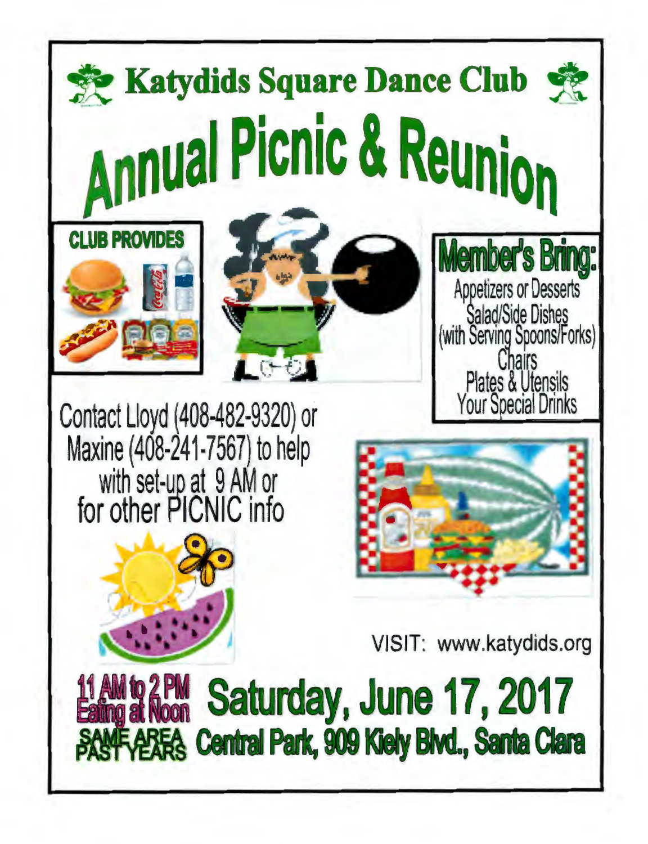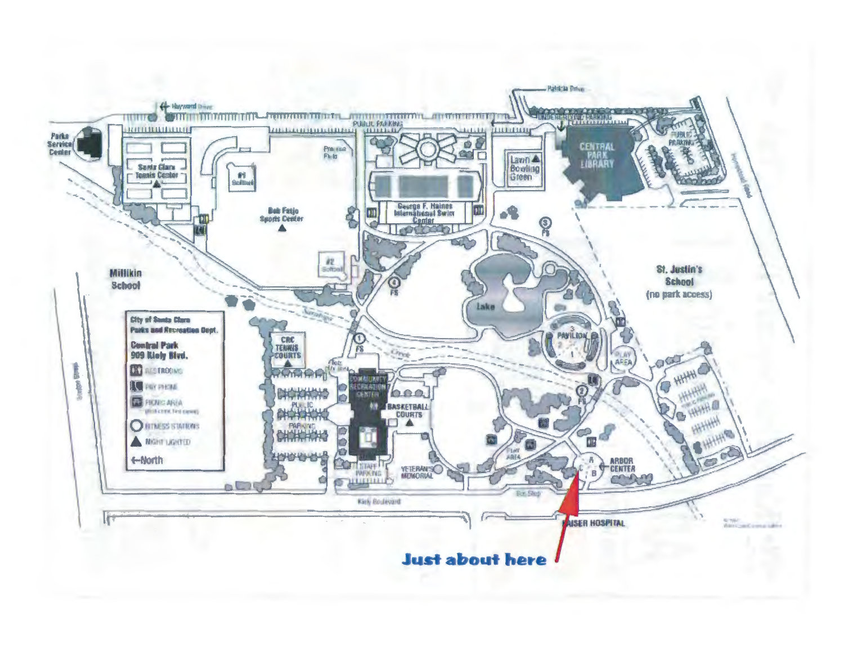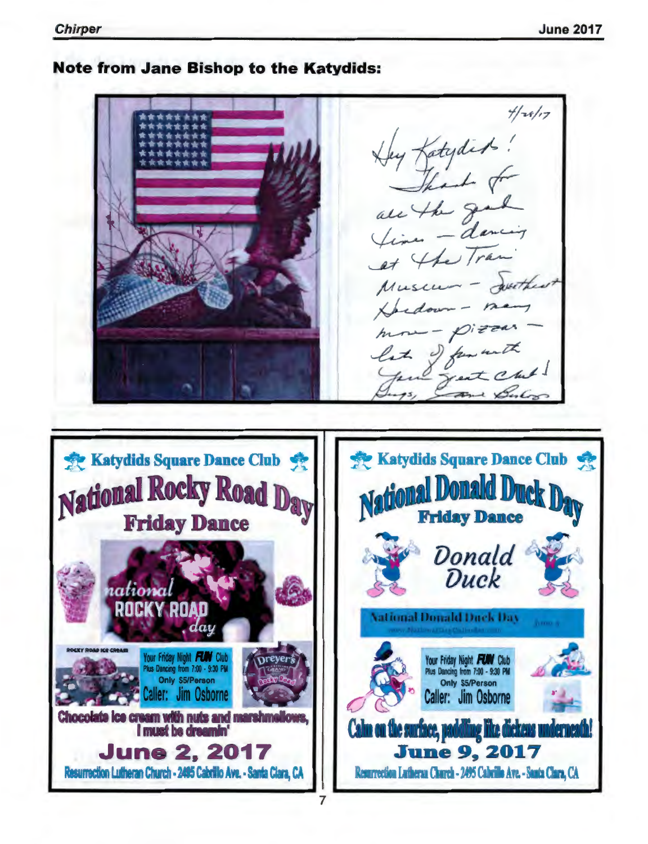# **Note from Jane Bishop to the Katydids:**

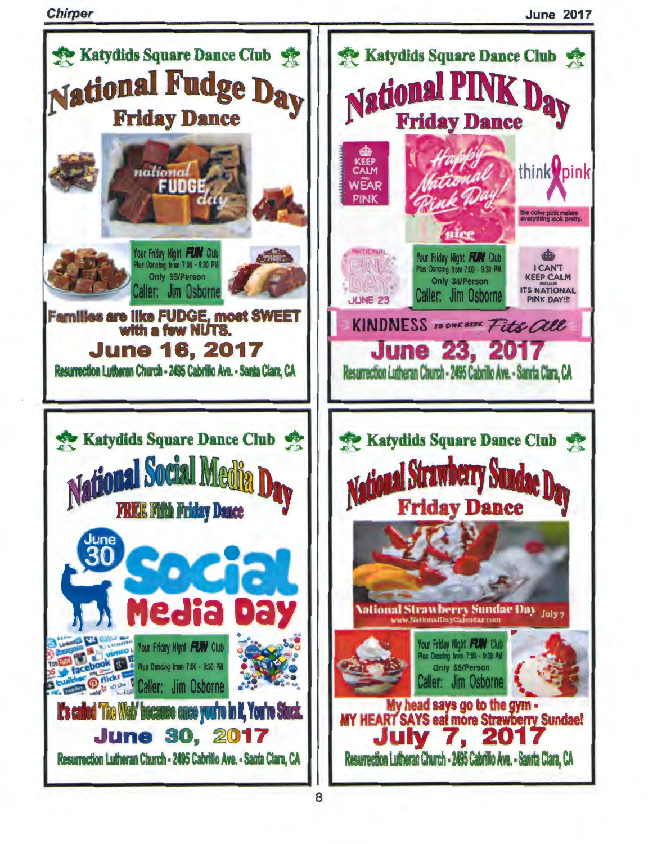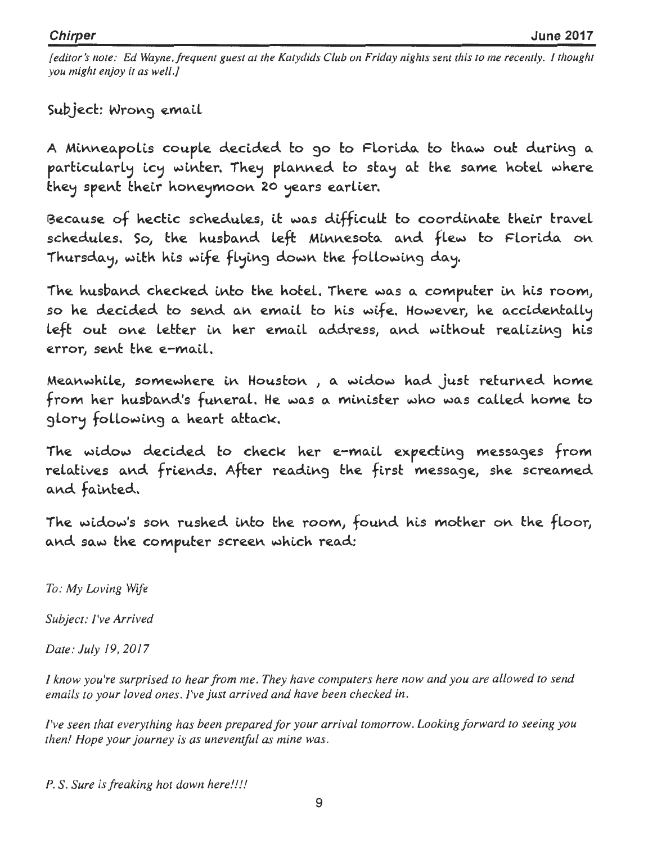[editor's note: Ed Wayne, frequent guest at the Katydids Club on Friday nights sent this to me recently. I thought you might enjoy it as well.]

Subject: Wrong email

A Minneapolis couple decided to go to Florida to thaw out during a particularly icy winter. They planned to stay at the same hotel where they spent their honeymoon 20 years earlier.

Because of hectic schedules, it was difficult to coordinate their travel schedules. So, the husband left Minnesota and flew to Florida on Thursday, with his wife flying down the following day.

The husband checked into the hotel. There was a computer in his room, so he decided to send an email to his wife. However, he accidentally left out one letter in her email address, and without realizing his error, sent the e-mail.

Meanwhile, somewhere in Houston , a widow had just returned home from her husband's funeral. He was a minister who was called home to glory following a heart attack.

The widow decided to check her e-mail expecting messages from relatives and friends. After reading the first message, she screamed and fainted.

The widow's son rushed into the room, found his mother on the floor, and saw the computer screen which read:

To: My Loving Wife

Subject: I've Arrived

Date: July 19, 2017

I know you're surprised to hear from me. They have computers here now and you are allowed to send emails to your loved ones. I've just arrived and have been checked in.

I've seen that everything has been prepared for your arrival tomorrow. Looking forward to seeing you then! Hope your journey is as uneventful as mine was.

P. S. Sure is freaking hot down here!!!!